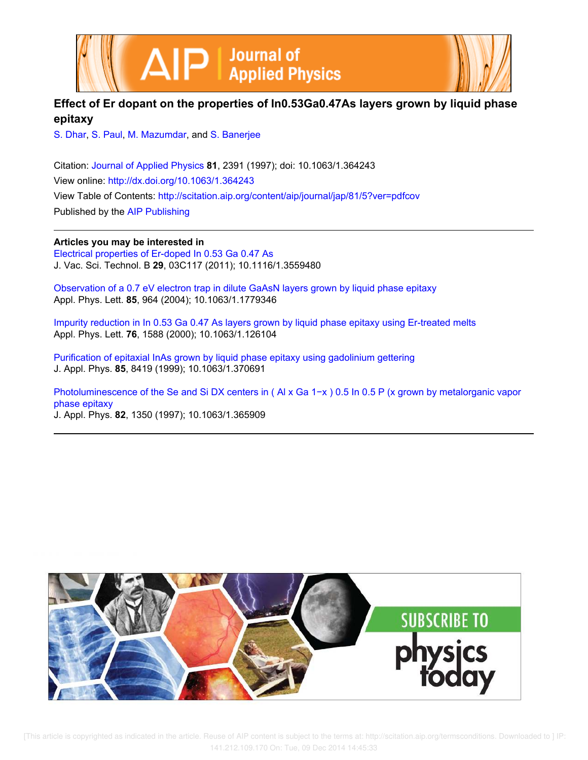



# **Effect of Er dopant on the properties of In0.53Ga0.47As layers grown by liquid phase epitaxy**

S. Dhar, S. Paul, M. Mazumdar, and S. Banerjee

Citation: Journal of Applied Physics **81**, 2391 (1997); doi: 10.1063/1.364243 View online: http://dx.doi.org/10.1063/1.364243 View Table of Contents: http://scitation.aip.org/content/aip/journal/jap/81/5?ver=pdfcov Published by the AIP Publishing

**Articles you may be interested in**

Electrical properties of Er-doped In 0.53 Ga 0.47 As J. Vac. Sci. Technol. B **29**, 03C117 (2011); 10.1116/1.3559480

Observation of a 0.7 eV electron trap in dilute GaAsN layers grown by liquid phase epitaxy Appl. Phys. Lett. **85**, 964 (2004); 10.1063/1.1779346

Impurity reduction in In 0.53 Ga 0.47 As layers grown by liquid phase epitaxy using Er-treated melts Appl. Phys. Lett. **76**, 1588 (2000); 10.1063/1.126104

Purification of epitaxial InAs grown by liquid phase epitaxy using gadolinium gettering J. Appl. Phys. **85**, 8419 (1999); 10.1063/1.370691

Photoluminescence of the Se and Si DX centers in (Al x Ga 1-x) 0.5 In 0.5 P (x grown by metalorganic vapor phase epitaxy J. Appl. Phys. **82**, 1350 (1997); 10.1063/1.365909

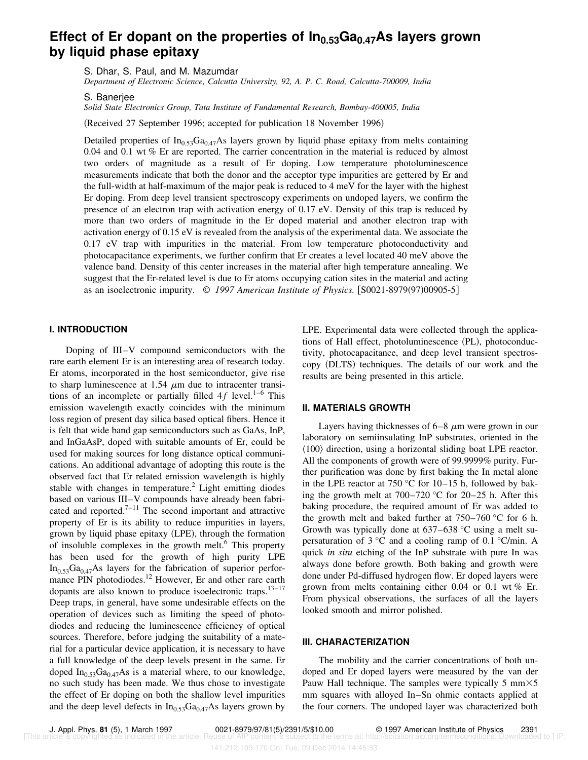# **Effect of Er dopant on the properties of In0.53Ga0.47As layers grown by liquid phase epitaxy**

S. Dhar, S. Paul, and M. Mazumdar

*Department of Electronic Science, Calcutta University, 92, A. P. C. Road, Calcutta-700009, India*

S. Banerjee

*Solid State Electronics Group, Tata Institute of Fundamental Research, Bombay-400005, India*

(Received 27 September 1996; accepted for publication 18 November 1996)

Detailed properties of  $In<sub>0.53</sub>Ga<sub>0.47</sub>As layers grown by liquid phase epitaxy from melts containing$ 0.04 and 0.1 wt % Er are reported. The carrier concentration in the material is reduced by almost two orders of magnitude as a result of Er doping. Low temperature photoluminescence measurements indicate that both the donor and the acceptor type impurities are gettered by Er and the full-width at half-maximum of the major peak is reduced to 4 meV for the layer with the highest Er doping. From deep level transient spectroscopy experiments on undoped layers, we confirm the presence of an electron trap with activation energy of 0.17 eV. Density of this trap is reduced by more than two orders of magnitude in the Er doped material and another electron trap with activation energy of 0.15 eV is revealed from the analysis of the experimental data. We associate the 0.17 eV trap with impurities in the material. From low temperature photoconductivity and photocapacitance experiments, we further confirm that Er creates a level located 40 meV above the valence band. Density of this center increases in the material after high temperature annealing. We suggest that the Er-related level is due to Er atoms occupying cation sites in the material and acting as an isoelectronic impurity.  $\odot$  1997 American Institute of Physics. [S0021-8979(97)00905-5]

### **I. INTRODUCTION**

Doping of III–V compound semiconductors with the rare earth element Er is an interesting area of research today. Er atoms, incorporated in the host semiconductor, give rise to sharp luminescence at 1.54  $\mu$ m due to intracenter transitions of an incomplete or partially filled  $4f$  level.<sup>1–6</sup> This emission wavelength exactly coincides with the minimum loss region of present day silica based optical fibers. Hence it is felt that wide band gap semiconductors such as GaAs, InP, and InGaAsP, doped with suitable amounts of Er, could be used for making sources for long distance optical communications. An additional advantage of adopting this route is the observed fact that Er related emission wavelength is highly stable with changes in temperature.<sup>2</sup> Light emitting diodes based on various III–V compounds have already been fabricated and reported.<sup> $7-11$ </sup> The second important and attractive property of Er is its ability to reduce impurities in layers, grown by liquid phase epitaxy (LPE), through the formation of insoluble complexes in the growth melt.<sup>6</sup> This property has been used for the growth of high purity LPE  $In<sub>0.53</sub>Ga<sub>0.47</sub>As layers for the fabrication of superior perfor$ mance PIN photodiodes.<sup>12</sup> However, Er and other rare earth dopants are also known to produce isoelectronic traps.<sup>13-17</sup> Deep traps, in general, have some undesirable effects on the operation of devices such as limiting the speed of photodiodes and reducing the luminescence efficiency of optical sources. Therefore, before judging the suitability of a material for a particular device application, it is necessary to have a full knowledge of the deep levels present in the same. Er doped  $In<sub>0.53</sub>Ga<sub>0.47</sub>As$  is a material where, to our knowledge, no such study has been made. We thus chose to investigate the effect of Er doping on both the shallow level impurities and the deep level defects in  $In<sub>0.53</sub>Ga<sub>0.47</sub>As layers grown by$  LPE. Experimental data were collected through the applications of Hall effect, photoluminescence (PL), photoconductivity, photocapacitance, and deep level transient spectroscopy (DLTS) techniques. The details of our work and the results are being presented in this article.

#### **II. MATERIALS GROWTH**

Layers having thicknesses of  $6-8 \mu m$  were grown in our laboratory on semiinsulating InP substrates, oriented in the  $\langle 100 \rangle$  direction, using a horizontal sliding boat LPE reactor. All the components of growth were of 99.9999% purity. Further purification was done by first baking the In metal alone in the LPE reactor at 750  $\degree$ C for 10–15 h, followed by baking the growth melt at 700–720 °C for 20–25 h. After this baking procedure, the required amount of Er was added to the growth melt and baked further at 750–760 °C for 6 h. Growth was typically done at 637–638 °C using a melt supersaturation of 3  $\degree$ C and a cooling ramp of 0.1  $\degree$ C/min. A quick *in situ* etching of the InP substrate with pure In was always done before growth. Both baking and growth were done under Pd-diffused hydrogen flow. Er doped layers were grown from melts containing either 0.04 or 0.1 wt % Er. From physical observations, the surfaces of all the layers looked smooth and mirror polished.

## **III. CHARACTERIZATION**

The mobility and the carrier concentrations of both undoped and Er doped layers were measured by the van der Pauw Hall technique. The samples were typically 5 mm $\times$ 5 mm squares with alloyed In–Sn ohmic contacts applied at the four corners. The undoped layer was characterized both

J. Appl. Phys. **81** (5), 1 March 1997 0021-8979/97/81(5)/2391/5/\$10.00 © 1997 American Institute of Physics 2391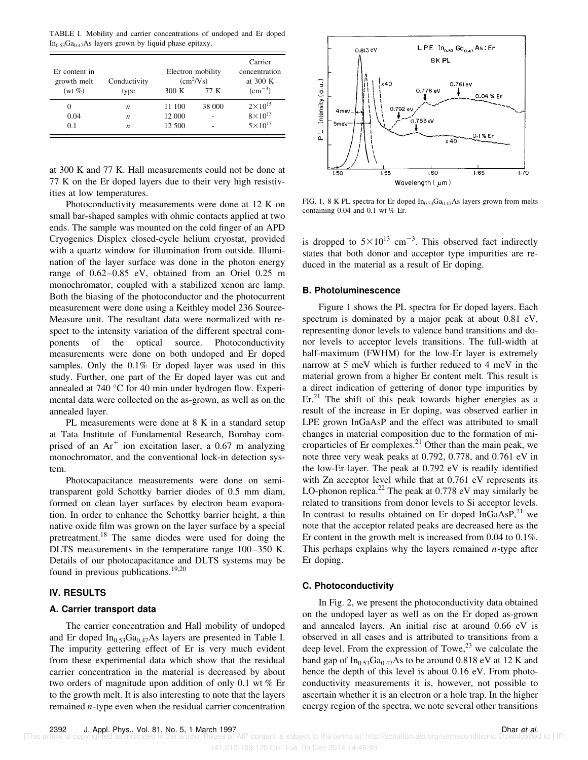TABLE I. Mobility and carrier concentrations of undoped and Er doped  $In<sub>0.53</sub>Ga<sub>0.47</sub>As layers grown by liquid phase epitaxy.$ 

| Er content in<br>growth melt<br>$(wt\%)$ | Conductivity     | 300K   | Electron mobility<br>$(cm^2/Vs)$<br>77 K | Carrier<br>concentration<br>at 300 K<br>$\rm (cm^{-3})$ |
|------------------------------------------|------------------|--------|------------------------------------------|---------------------------------------------------------|
|                                          | type             |        |                                          |                                                         |
| $\theta$                                 | n                | 11 100 | 38 000                                   | $2 \times 10^{15}$                                      |
| 0.04                                     | $\boldsymbol{n}$ | 12 000 |                                          | $8\times10^{13}$                                        |
| 0.1                                      | n                | 12 500 |                                          | $5 \times 10^{13}$                                      |

at 300 K and 77 K. Hall measurements could not be done at 77 K on the Er doped layers due to their very high resistivities at low temperatures.

Photoconductivity measurements were done at 12 K on small bar-shaped samples with ohmic contacts applied at two ends. The sample was mounted on the cold finger of an APD Cryogenics Displex closed-cycle helium cryostat, provided with a quartz window for illumination from outside. Illumination of the layer surface was done in the photon energy range of 0.62–0.85 eV, obtained from an Oriel 0.25 m monochromator, coupled with a stabilized xenon arc lamp. Both the biasing of the photoconductor and the photocurrent measurement were done using a Keithley model 236 Source-Measure unit. The resultant data were normalized with respect to the intensity variation of the different spectral components of the optical source. Photoconductivity measurements were done on both undoped and Er doped samples. Only the 0.1% Er doped layer was used in this study. Further, one part of the Er doped layer was cut and annealed at 740 °C for 40 min under hydrogen flow. Experimental data were collected on the as-grown, as well as on the annealed layer.

PL measurements were done at 8 K in a standard setup at Tata Institute of Fundamental Research, Bombay comprised of an  $Ar^+$  ion excitation laser, a 0.67 m analyzing monochromator, and the conventional lock-in detection system.

Photocapacitance measurements were done on semitransparent gold Schottky barrier diodes of 0.5 mm diam, formed on clean layer surfaces by electron beam evaporation. In order to enhance the Schottky barrier height, a thin native oxide film was grown on the layer surface by a special pretreatment.<sup>18</sup> The same diodes were used for doing the DLTS measurements in the temperature range 100–350 K. Details of our photocapacitance and DLTS systems may be found in previous publications.<sup>19,20</sup>

## **IV. RESULTS**

### **A. Carrier transport data**

The carrier concentration and Hall mobility of undoped and Er doped  $In_{0.53}Ga_{0.47}As$  layers are presented in Table I. The impurity gettering effect of Er is very much evident from these experimental data which show that the residual carrier concentration in the material is decreased by about two orders of magnitude upon addition of only 0.1 wt % Er to the growth melt. It is also interesting to note that the layers remained *n*-type even when the residual carrier concentration



FIG. 1. 8 K PL spectra for Er doped  $In<sub>0.53</sub>Ga<sub>0.47</sub>As layers grown from melts$ containing 0.04 and 0.1 wt % Er.

is dropped to  $5 \times 10^{13}$  cm<sup>-3</sup>. This observed fact indirectly states that both donor and acceptor type impurities are reduced in the material as a result of Er doping.

## **B. Photoluminescence**

Figure 1 shows the PL spectra for Er doped layers. Each spectrum is dominated by a major peak at about 0.81 eV, representing donor levels to valence band transitions and donor levels to acceptor levels transitions. The full-width at half-maximum (FWHM) for the low-Er layer is extremely narrow at 5 meV which is further reduced to 4 meV in the material grown from a higher Er content melt. This result is a direct indication of gettering of donor type impurities by  $Er<sup>21</sup>$ . The shift of this peak towards higher energies as a result of the increase in Er doping, was observed earlier in LPE grown InGaAsP and the effect was attributed to small changes in material composition due to the formation of microparticles of Er complexes. $^{21}$  Other than the main peak, we note three very weak peaks at 0.792, 0.778, and 0.761 eV in the low-Er layer. The peak at 0.792 eV is readily identified with Zn acceptor level while that at 0.761 eV represents its LO-phonon replica.<sup>22</sup> The peak at 0.778 eV may similarly be related to transitions from donor levels to Si acceptor levels. In contrast to results obtained on Er doped InGaAsP, $^{21}$  we note that the acceptor related peaks are decreased here as the Er content in the growth melt is increased from 0.04 to 0.1%. This perhaps explains why the layers remained *n*-type after Er doping.

## **C. Photoconductivity**

In Fig. 2, we present the photoconductivity data obtained on the undoped layer as well as on the Er doped as-grown and annealed layers. An initial rise at around 0.66 eV is observed in all cases and is attributed to transitions from a deep level. From the expression of Towe, $^{23}$  we calculate the band gap of  $In<sub>0.53</sub>Ga<sub>0.47</sub>As$  to be around 0.818 eV at 12 K and hence the depth of this level is about 0.16 eV. From photoconductivity measurements it is, however, not possible to ascertain whether it is an electron or a hole trap. In the higher energy region of the spectra, we note several other transitions

AIP content is subject to the terms at: http://scitation.aip.org/termsconditions. Downloaded to ] IP 141.212.109.170 On: Tue, 09 Dec 2014 14:45:33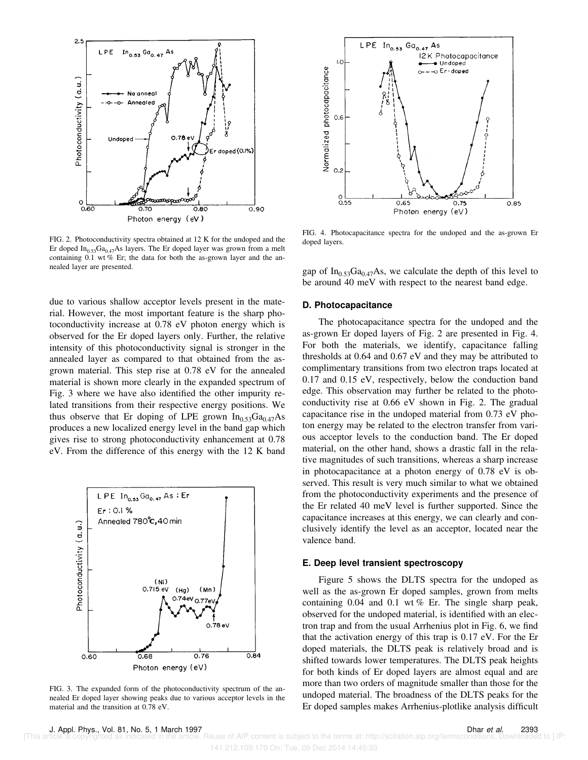

FIG. 2. Photoconductivity spectra obtained at 12 K for the undoped and the Er doped In<sub>0.53</sub>Ga<sub>0.47</sub>As layers. The Er doped layer was grown from a melt containing 0.1 wt % Er; the data for both the as-grown layer and the annealed layer are presented.

due to various shallow acceptor levels present in the material. However, the most important feature is the sharp photoconductivity increase at 0.78 eV photon energy which is observed for the Er doped layers only. Further, the relative intensity of this photoconductivity signal is stronger in the annealed layer as compared to that obtained from the asgrown material. This step rise at 0.78 eV for the annealed material is shown more clearly in the expanded spectrum of Fig. 3 where we have also identified the other impurity related transitions from their respective energy positions. We thus observe that Er doping of LPE grown  $In<sub>0.53</sub>Ga<sub>0.47</sub>As$ produces a new localized energy level in the band gap which gives rise to strong photoconductivity enhancement at 0.78 eV. From the difference of this energy with the 12 K band



FIG. 3. The expanded form of the photoconductivity spectrum of the annealed Er doped layer showing peaks due to various acceptor levels in the material and the transition at 0.78 eV.



FIG. 4. Photocapacitance spectra for the undoped and the as-grown Er doped layers.

gap of  $In<sub>0.53</sub>Ga<sub>0.47</sub>As$ , we calculate the depth of this level to be around 40 meV with respect to the nearest band edge.

### **D. Photocapacitance**

The photocapacitance spectra for the undoped and the as-grown Er doped layers of Fig. 2 are presented in Fig. 4. For both the materials, we identify, capacitance falling thresholds at 0.64 and 0.67 eV and they may be attributed to complimentary transitions from two electron traps located at 0.17 and 0.15 eV, respectively, below the conduction band edge. This observation may further be related to the photoconductivity rise at 0.66 eV shown in Fig. 2. The gradual capacitance rise in the undoped material from 0.73 eV photon energy may be related to the electron transfer from various acceptor levels to the conduction band. The Er doped material, on the other hand, shows a drastic fall in the relative magnitudes of such transitions, whereas a sharp increase in photocapacitance at a photon energy of 0.78 eV is observed. This result is very much similar to what we obtained from the photoconductivity experiments and the presence of the Er related 40 meV level is further supported. Since the capacitance increases at this energy, we can clearly and conclusively identify the level as an acceptor, located near the valence band.

### **E. Deep level transient spectroscopy**

Figure 5 shows the DLTS spectra for the undoped as well as the as-grown Er doped samples, grown from melts containing 0.04 and 0.1 wt % Er. The single sharp peak, observed for the undoped material, is identified with an electron trap and from the usual Arrhenius plot in Fig. 6, we find that the activation energy of this trap is 0.17 eV. For the Er doped materials, the DLTS peak is relatively broad and is shifted towards lower temperatures. The DLTS peak heights for both kinds of Er doped layers are almost equal and are more than two orders of magnitude smaller than those for the undoped material. The broadness of the DLTS peaks for the Er doped samples makes Arrhenius-plotlike analysis difficult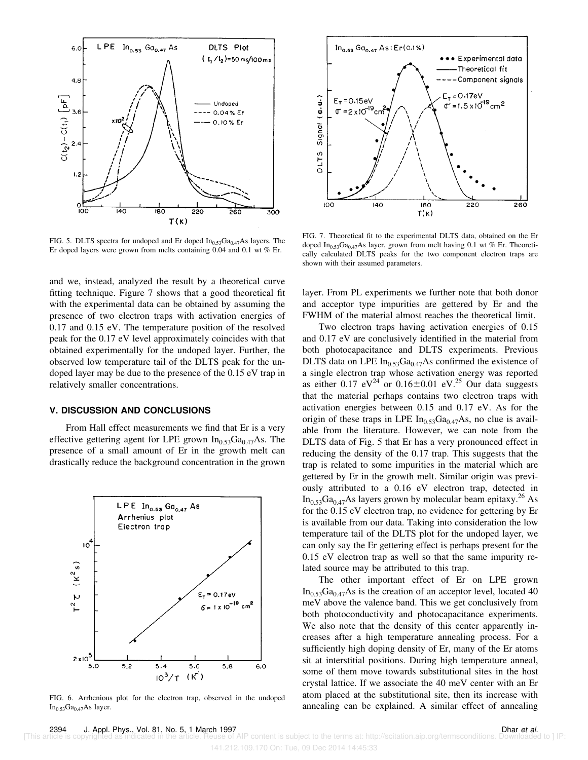

FIG. 5. DLTS spectra for undoped and Er doped  $In<sub>0.53</sub>Ga<sub>0.47</sub>As layers. The$ Er doped layers were grown from melts containing 0.04 and 0.1 wt % Er.

and we, instead, analyzed the result by a theoretical curve fitting technique. Figure 7 shows that a good theoretical fit with the experimental data can be obtained by assuming the presence of two electron traps with activation energies of 0.17 and 0.15 eV. The temperature position of the resolved peak for the 0.17 eV level approximately coincides with that obtained experimentally for the undoped layer. Further, the observed low temperature tail of the DLTS peak for the undoped layer may be due to the presence of the 0.15 eV trap in relatively smaller concentrations.

# **V. DISCUSSION AND CONCLUSIONS**

From Hall effect measurements we find that Er is a very effective gettering agent for LPE grown  $In<sub>0.53</sub>Ga<sub>0.47</sub>As.$  The presence of a small amount of Er in the growth melt can drastically reduce the background concentration in the grown



FIG. 6. Arrhenious plot for the electron trap, observed in the undoped  $In<sub>0.53</sub>Ga<sub>0.47</sub>As layer.$ 



FIG. 7. Theoretical fit to the experimental DLTS data, obtained on the Er doped In<sub>0.53</sub>Ga<sub>0.47</sub>As layer, grown from melt having 0.1 wt % Er. Theoretically calculated DLTS peaks for the two component electron traps are shown with their assumed parameters.

layer. From PL experiments we further note that both donor and acceptor type impurities are gettered by Er and the FWHM of the material almost reaches the theoretical limit.

Two electron traps having activation energies of 0.15 and 0.17 eV are conclusively identified in the material from both photocapacitance and DLTS experiments. Previous DLTS data on LPE  $In<sub>0.53</sub>Ga<sub>0.47</sub>As confirmed the existence of$ a single electron trap whose activation energy was reported as either 0.17  $eV^{24}$  or 0.16 $\pm$ 0.01 eV.<sup>25</sup> Our data suggests that the material perhaps contains two electron traps with activation energies between 0.15 and 0.17 eV. As for the origin of these traps in LPE  $In<sub>0.53</sub>Ga<sub>0.47</sub>As$ , no clue is available from the literature. However, we can note from the DLTS data of Fig. 5 that Er has a very pronounced effect in reducing the density of the 0.17 trap. This suggests that the trap is related to some impurities in the material which are gettered by Er in the growth melt. Similar origin was previously attributed to a 0.16 eV electron trap, detected in  $In_{0.53}Ga_{0.47}As$  layers grown by molecular beam epitaxy.<sup>26</sup> As for the 0.15 eV electron trap, no evidence for gettering by Er is available from our data. Taking into consideration the low temperature tail of the DLTS plot for the undoped layer, we can only say the Er gettering effect is perhaps present for the 0.15 eV electron trap as well so that the same impurity related source may be attributed to this trap.

The other important effect of Er on LPE grown  $In_{0.53}Ga_{0.47}As$  is the creation of an acceptor level, located 40 meV above the valence band. This we get conclusively from both photoconductivity and photocapacitance experiments. We also note that the density of this center apparently increases after a high temperature annealing process. For a sufficiently high doping density of Er, many of the Er atoms sit at interstitial positions. During high temperature anneal, some of them move towards substitutional sites in the host crystal lattice. If we associate the 40 meV center with an Er atom placed at the substitutional site, then its increase with annealing can be explained. A similar effect of annealing

AIP content is subject to the terms at: http://scitation.aip.org/termsconditions. Downloaded to ] IP: 141.212.109.170 On: Tue, 09 Dec 2014 14:45:33